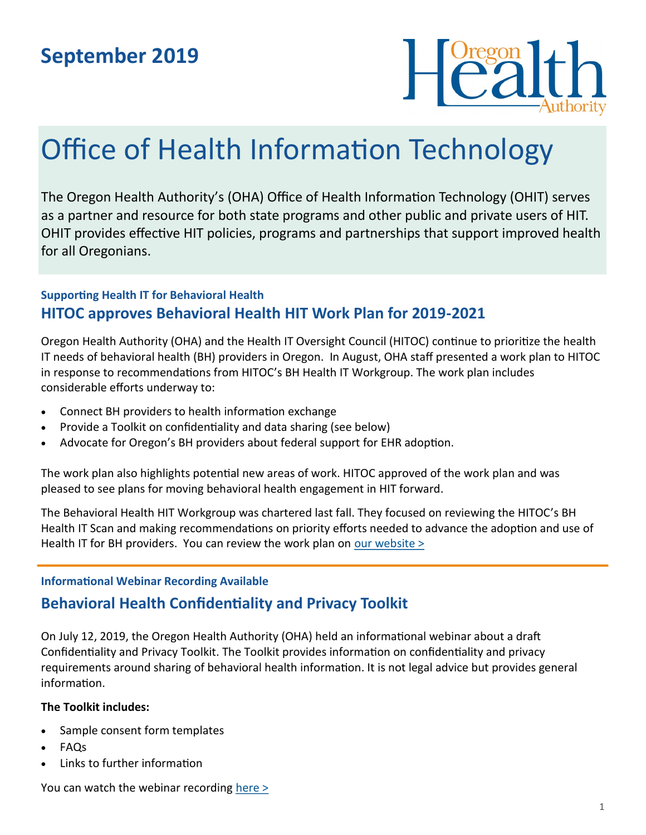# **September 2019**



# Office of Health Information Technology

The Oregon Health Authority's (OHA) Office of Health Information Technology (OHIT) serves as a partner and resource for both state programs and other public and private users of HIT. OHIT provides effective HIT policies, programs and partnerships that support improved health for all Oregonians.

### **Supporting Health IT for Behavioral Health HITOC approves Behavioral Health HIT Work Plan for 2019-2021**

Oregon Health Authority (OHA) and the Health IT Oversight Council (HITOC) continue to prioritize the health IT needs of behavioral health (BH) providers in Oregon. In August, OHA staff presented a work plan to HITOC in response to recommendations from HITOC's BH Health IT Workgroup. The work plan includes considerable efforts underway to:

- Connect BH providers to health information exchange
- Provide a Toolkit on confidentiality and data sharing (see below)
- Advocate for Oregon's BH providers about federal support for EHR adoption.

The work plan also highlights potential new areas of work. HITOC approved of the work plan and was pleased to see plans for moving behavioral health engagement in HIT forward.

The Behavioral Health HIT Workgroup was chartered last fall. They focused on reviewing the HITOC's BH Health IT Scan and making recommendations on priority efforts needed to advance the adoption and use of Health IT for BH providers. You can review the work plan on <u>our website  $\geq$ </u>

#### **Informational Webinar Recording Available**

# **Behavioral Health Confidentiality and Privacy Toolkit**

On July 12, 2019, the Oregon Health Authority (OHA) held an informational webinar about a draft Confidentiality and Privacy Toolkit. The Toolkit provides information on confidentiality and privacy requirements around sharing of behavioral health information. It is not legal advice but provides general information.

#### **The Toolkit includes:**

- Sample consent form templates
- FAQs
- Links to further information

You can watch the webinar recording [here >](https://www.youtube.com/watch?v=8jzWm8tMpPY)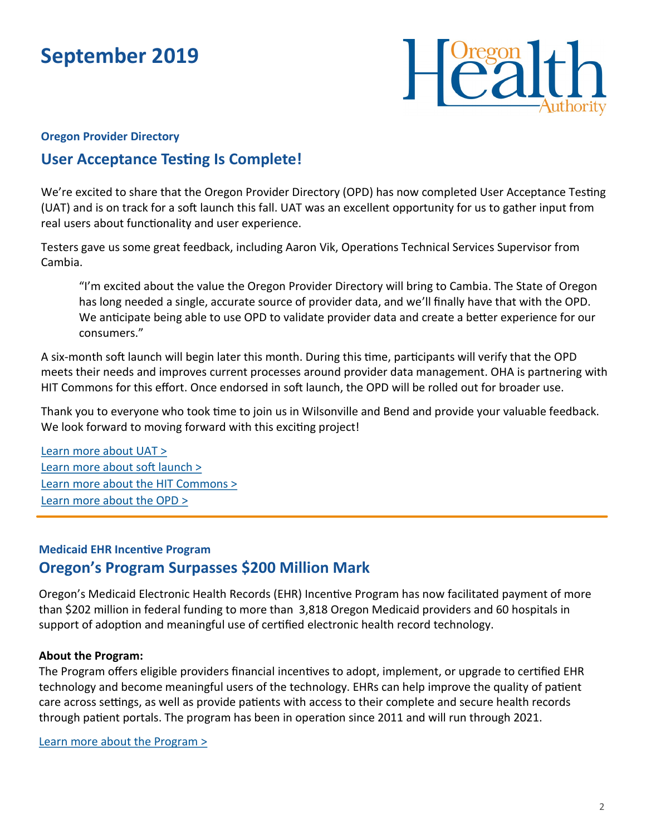# **September 2019**



#### **Oregon Provider Directory**

# **User Acceptance Testing Is Complete!**

We're excited to share that the Oregon Provider Directory (OPD) has now completed User Acceptance Testing (UAT) and is on track for a soft launch this fall. UAT was an excellent opportunity for us to gather input from real users about functionality and user experience.

Testers gave us some great feedback, including Aaron Vik, Operations Technical Services Supervisor from Cambia.

"I'm excited about the value the Oregon Provider Directory will bring to Cambia. The State of Oregon has long needed a single, accurate source of provider data, and we'll finally have that with the OPD. We anticipate being able to use OPD to validate provider data and create a better experience for our consumers."

A six-month soft launch will begin later this month. During this time, participants will verify that the OPD meets their needs and improves current processes around provider data management. OHA is partnering with HIT Commons for this effort. Once endorsed in soft launch, the OPD will be rolled out for broader use.

Thank you to everyone who took time to join us in Wilsonville and Bend and provide your valuable feedback. We look forward to moving forward with this exciting project!

[Learn more about UAT >](https://www.oregon.gov/oha/HPA/OHIT/Documents/OPD_UATOverview_Final.pdf) [Learn more about soft launch >](https://www.oregon.gov/oha/HPA/OHIT/Documents/OPD_SoftLaunch_Final.pdf) [Learn more about the HIT Commons >](http://www.orhealthleadershipcouncil.org/hit-commons/) [Learn more about the OPD >](https://www.oregon.gov/oha/HPA/OHIT/Pages/PD-Overview.aspx)

## **Medicaid EHR Incentive Program Oregon's Program Surpasses \$200 Million Mark**

Oregon's Medicaid Electronic Health Records (EHR) Incentive Program has now facilitated payment of more than \$202 million in federal funding to more than 3,818 Oregon Medicaid providers and 60 hospitals in support of adoption and meaningful use of certified electronic health record technology.

#### **About the Program:**

The Program offers eligible providers financial incentives to adopt, implement, or upgrade to certified EHR technology and become meaningful users of the technology. EHRs can help improve the quality of patient care across settings, as well as provide patients with access to their complete and secure health records through patient portals. The program has been in operation since 2011 and will run through 2021.

[Learn more about the Program >](https://www.oregon.gov/oha/HPA/OHIT-MEHRIP/pages/index.aspx)